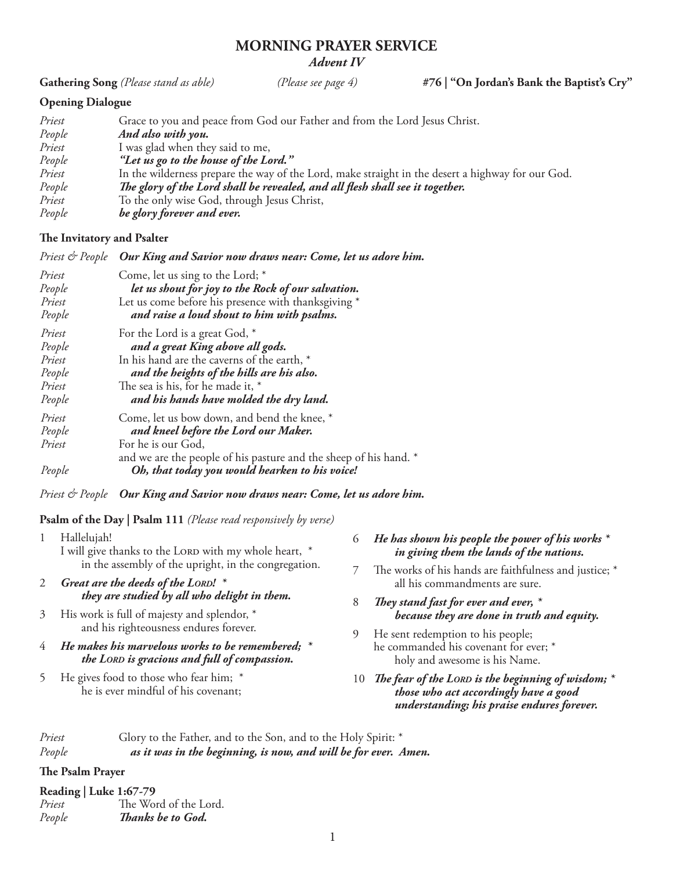# **MORNING PRAYER SERVICE** *Advent IV*

**Gathering Song** *(Please stand as able) (Please see page 4)* **#76 | "On Jordan's Bank the Baptist's Cry"**

# **Opening Dialogue**

| Priest | Grace to you and peace from God our Father and from the Lord Jesus Christ.                        |
|--------|---------------------------------------------------------------------------------------------------|
| People | And also with you.                                                                                |
| Priest | I was glad when they said to me,                                                                  |
| People | "Let us go to the house of the Lord."                                                             |
| Priest | In the wilderness prepare the way of the Lord, make straight in the desert a highway for our God. |
| People | The glory of the Lord shall be revealed, and all flesh shall see it together.                     |
| Priest | To the only wise God, through Jesus Christ,                                                       |
| People | be glory forever and ever.                                                                        |

# **The Invitatory and Psalter**

| Priest & People | Our King and Savior now draws near: Come, let us adore him.                             |
|-----------------|-----------------------------------------------------------------------------------------|
| Priest          | Come, let us sing to the Lord; *                                                        |
| People          | let us shout for joy to the Rock of our salvation.                                      |
| Priest          | Let us come before his presence with thanksgiving *                                     |
| People          | and raise a loud shout to him with psalms.                                              |
| Priest          | For the Lord is a great God, *                                                          |
| People          | and a great King above all gods.                                                        |
| Priest          | In his hand are the caverns of the earth, *                                             |
| People          | and the heights of the hills are his also.                                              |
| Priest          | The sea is his, for he made it, *                                                       |
| People          | and his hands have molded the dry land.                                                 |
| Priest          | Come, let us bow down, and bend the knee, *                                             |
| People          | and kneel before the Lord our Maker.                                                    |
| Priest          | For he is our God,<br>and we are the people of his pasture and the sheep of his hand. * |
| People          | Oh, that today you would hearken to his voice!                                          |

*Priest & People Our King and Savior now draws near: Come, let us adore him.*

# **Psalm of the Day | Psalm 111** *(Please read responsively by verse)*

| Hallelujah!<br>I will give thanks to the LORD with my whole heart, *                                 |  | He has shown his people the power of his works $^\ast$<br>in giving them the lands of the nations.                                             |
|------------------------------------------------------------------------------------------------------|--|------------------------------------------------------------------------------------------------------------------------------------------------|
| in the assembly of the upright, in the congregation.<br>2 Great are the deeds of the LORD! *         |  | The works of his hands are faithfulness and justice; *<br>all his commandments are sure.                                                       |
| they are studied by all who delight in them.                                                         |  | They stand fast for ever and ever, $*$                                                                                                         |
| 3 His work is full of majesty and splendor, *                                                        |  | because they are done in truth and equity.                                                                                                     |
| and his righteousness endures forever.                                                               |  | He sent redemption to his people;                                                                                                              |
| 4 He makes his marvelous works to be remembered; $*$<br>the LORD is gracious and full of compassion. |  | he commanded his covenant for ever; *<br>holy and awesome is his Name.                                                                         |
| He gives food to those who fear him; *<br>he is ever mindful of his covenant;                        |  | 10 The fear of the LORD is the beginning of wisdom; $*$<br>those who act accordingly have a good<br>understanding; his praise endures forever. |

| Priest | Glory to the Father, and to the Son, and to the Holy Spirit: *  |
|--------|-----------------------------------------------------------------|
| People | as it was in the beginning, is now, and will be for ever. Amen. |

# **The Psalm Prayer**

| Priest | The Word of the Lord. |
|--------|-----------------------|
| People | Thanks be to God.     |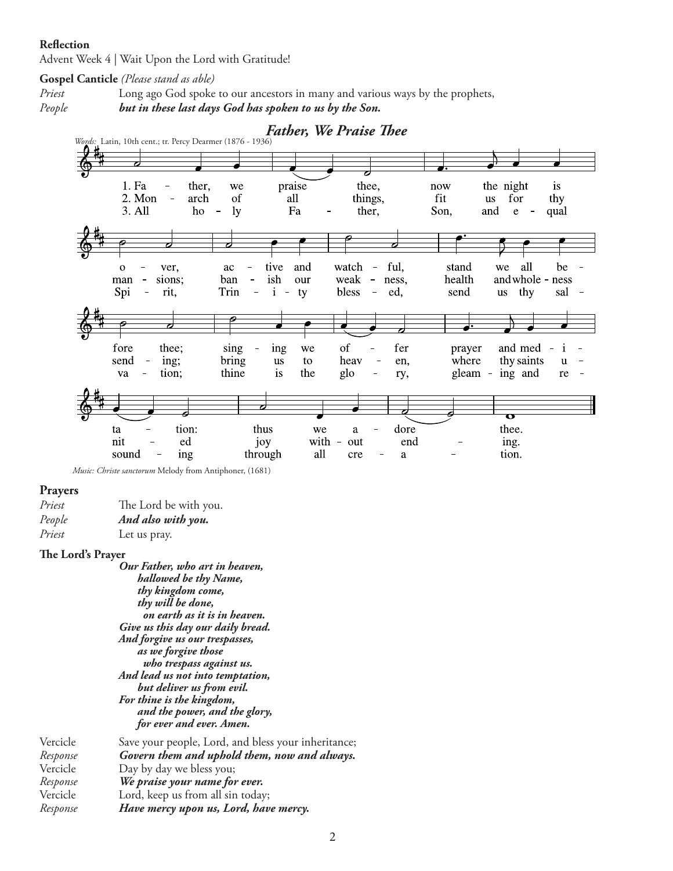### **Reflection**

Advent Week 4 | Wait Upon the Lord with Gratitude!

### **Gospel Canticle** *(Please stand as able)*

*Priest* Long ago God spoke to our ancestors in many and various ways by the prophets,





 *Music: Christe sanctorum* Melody from Antiphoner, (1681)

#### **Prayers**

| Priest | The Lord be with you. |
|--------|-----------------------|
| People | And also with you.    |
| Priest | Let us pray.          |

#### **The Lord's Prayer**

*Our Father, who art in heaven, hallowed be thy Name, thy kingdom come, thy will be done, on earth as it is in heaven. Give us this day our daily bread. And forgive us our trespasses, as we forgive those who trespass against us. And lead us not into temptation, but deliver us from evil. For thine is the kingdom, and the power, and the glory, for ever and ever. Amen.* Vercicle Save your people, Lord, and bless your inheritance;<br>Response Govern them and uphold them, now and always. *Response Govern them and uphold them, now and always.* Vercicle *Day by day we bless you*;

Vercicle Day by day we bless you;<br>Response **We praise your name for** *Response**We praise your name for ever.* Lord, keep us from all sin today; *Response**Have mercy upon us, Lord, have mercy.*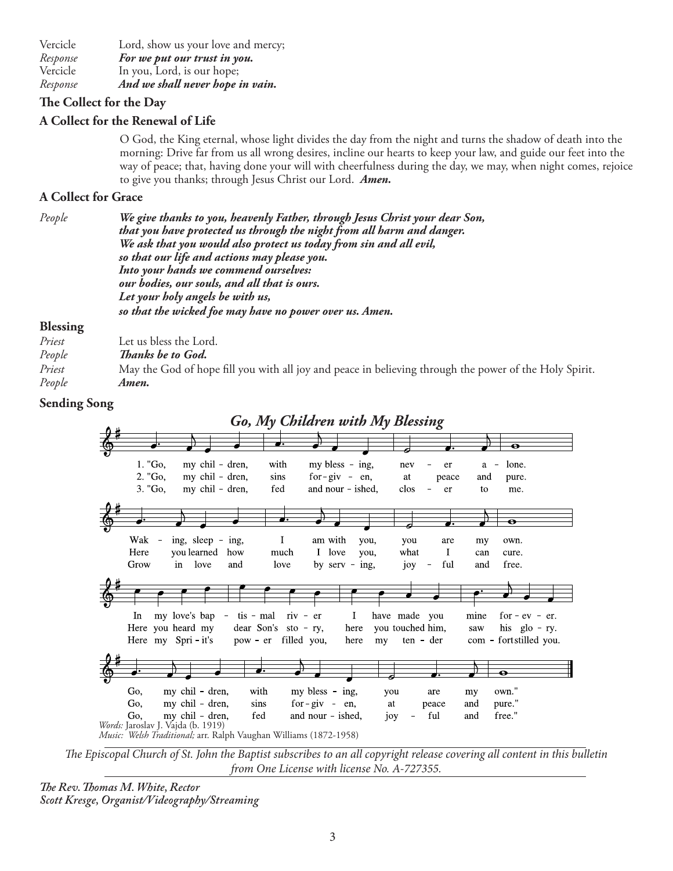Vercicle Lord, show us your love and mercy; *Response**For we put our trust in you.*  Vercicle In you, Lord, is our hope; *Response**And we shall never hope in vain.*

# **The Collect for the Day**

# **A Collect for the Renewal of Life**

O God, the King eternal, whose light divides the day from the night and turns the shadow of death into the morning: Drive far from us all wrong desires, incline our hearts to keep your law, and guide our feet into the way of peace; that, having done your will with cheerfulness during the day, we may, when night comes, rejoice to give you thanks; through Jesus Christ our Lord. *Amen.*

## **A Collect for Grace**

*People We give thanks to you, heavenly Father, through Jesus Christ your dear Son, that you have protected us through the night from all harm and danger. We ask that you would also protect us today from sin and all evil, so that our life and actions may please you. Into your hands we commend ourselves: our bodies, our souls, and all that is ours. Let your holy angels be with us, so that the wicked foe may have no power over us. Amen.* 

## **Blessing**

| Priest | Let us bless the Lord.                                                                                 |
|--------|--------------------------------------------------------------------------------------------------------|
| People | <i>Thanks be to God.</i>                                                                               |
| Priest | May the God of hope fill you with all joy and peace in believing through the power of the Holy Spirit. |
| People | Amen.                                                                                                  |

## **Sending Song**



*The Episcopal Church of St. John the Baptist subscribes to an all copyright release covering all content in this bulletin from One License with license No. A-727355.*

*The Rev. Thomas M. White, Rector Scott Kresge, Organist/Videography/Streaming*